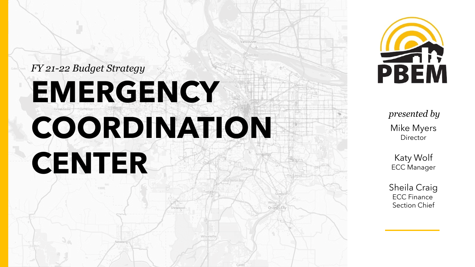



*presented by* Mike Myers **Director** 

Katy Wolf ECC Manager

Sheila Craig ECC Finance Section Chief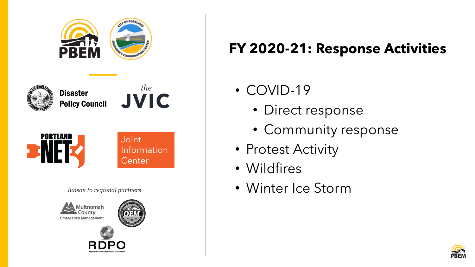

## **FY 2020-21: Response Activities**

- COVID-19
	- Direct response
	- Community response
- Protest Activity
- Wildfires
- Winter Ice Storm

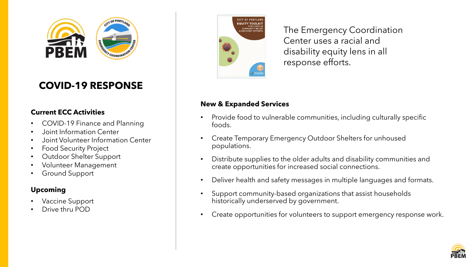

### **COVID-19 RESPONSE**

#### **Current ECC Activities**

- COVID-19 Finance and Planning
- Joint Information Center
- Joint Volunteer Information Center
- Food Security Project
- Outdoor Shelter Support
- Volunteer Management
- Ground Support

#### **Upcoming**

- Vaccine Support
- Drive thru POD



The Emergency Coordination Center uses a racial and disability equity lens in all response efforts.

#### **New & Expanded Services**

- Provide food to vulnerable communities, including culturally specific foods.
- Create Temporary Emergency Outdoor Shelters for unhoused populations.
- Distribute supplies to the older adults and disability communities and create opportunities for increased social connections.
- Deliver health and safety messages in multiple languages and formats.
- Support community-based organizations that assist households historically underserved by government.
- Create opportunities for volunteers to support emergency response work.